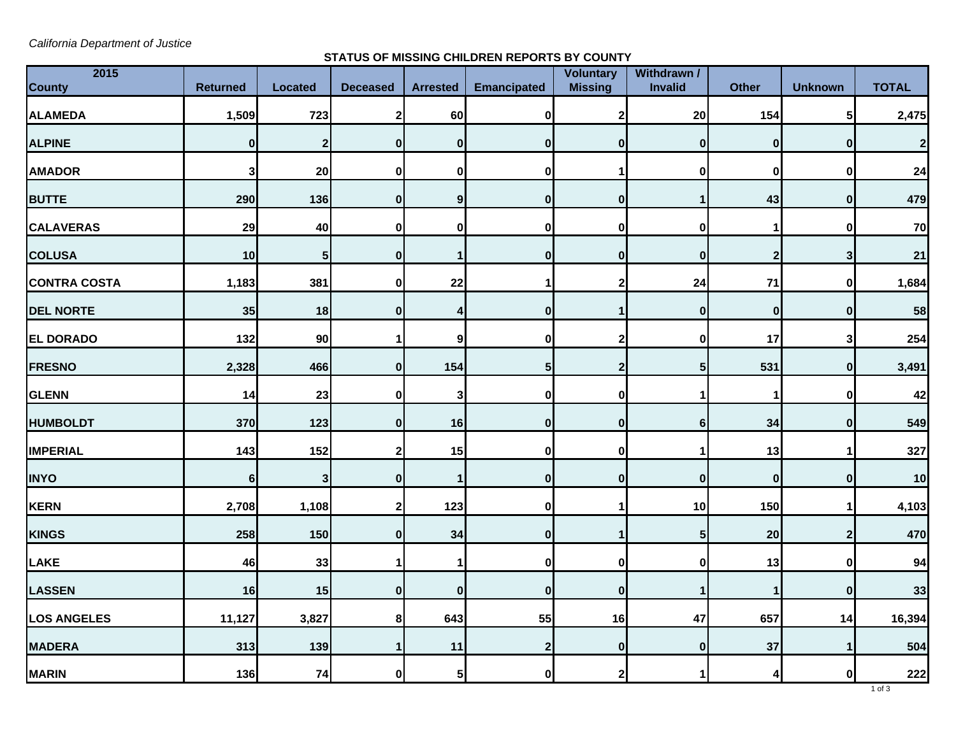*California Department of Justice*

## **STATUS OF MISSING CHILDREN REPORTS BY COUNTY**

| 2015                |                  |                |                 |                 |                    | <b>Voluntary</b> | Withdrawn /      |                         |                  |              |
|---------------------|------------------|----------------|-----------------|-----------------|--------------------|------------------|------------------|-------------------------|------------------|--------------|
| <b>County</b>       | <b>Returned</b>  | <b>Located</b> | <b>Deceased</b> | <b>Arrested</b> | <b>Emancipated</b> | <b>Missing</b>   | Invalid          | <b>Other</b>            | <b>Unknown</b>   | <b>TOTAL</b> |
| ALAMEDA             | 1,509            | 723            | 2               | 60              | $\pmb{0}$          | 2                | 20               | 154                     | 5                | 2,475        |
| <b>ALPINE</b>       | $\boldsymbol{0}$ | $\overline{2}$ | $\bf{0}$        | $\mathbf{0}$    | $\mathbf{0}$       | $\mathbf{0}$     | $\mathbf{0}$     | $\mathbf 0$             | $\mathbf{0}$     | $\mathbf{2}$ |
| <b>AMADOR</b>       | 3                | 20             | 0               | 0               | $\bf{0}$           | 1                | $\mathbf{0}$     | $\mathbf 0$             | $\mathbf 0$      | 24           |
| <b>BUTTE</b>        | 290              | 136            | $\bf{0}$        | 9 <sub>l</sub>  | 0                  | $\mathbf{0}$     | 1                | 43                      | $\boldsymbol{0}$ | 479          |
| <b>CALAVERAS</b>    | 29               | 40             | 0               | 0               | $\mathbf 0$        | $\mathbf 0$      | 0                | 1                       | 0                | 70           |
| <b>COLUSA</b>       | 10               | $\sqrt{5}$     | $\bf{0}$        | 1               | $\mathbf 0$        | $\mathbf{0}$     | $\mathbf{0}$     | $\overline{\mathbf{2}}$ | $\mathbf{3}$     | 21           |
| <b>CONTRA COSTA</b> | 1,183            | 381            | 0               | 22              | 1                  | $\mathbf{2}$     | 24               | 71                      | 0                | 1,684        |
| <b>DEL NORTE</b>    | 35               | 18             | $\bf{0}$        | 4               | $\bf{0}$           | 1                | $\mathbf{0}$     | $\mathbf 0$             | $\bf{0}$         | 58           |
| <b>EL DORADO</b>    | 132              | 90             |                 | 9               | $\mathbf 0$        | 2                | $\mathbf{0}$     | 17                      | 3                | 254          |
| <b>FRESNO</b>       | 2,328            | 466            | $\mathbf 0$     | 154             | 5 <sub>l</sub>     | $\mathbf{2}$     | 5 <sub>l</sub>   | 531                     | 0                | 3,491        |
| <b>GLENN</b>        | 14               | 23             | 0               | 3               | $\mathbf 0$        | 0                |                  | 1                       | $\mathbf 0$      | 42           |
| <b>HUMBOLDT</b>     | 370              | 123            | $\bf{0}$        | 16              | 0                  | 0                | $6 \mid$         | 34                      | 0                | 549          |
| <b>IMPERIAL</b>     | 143              | 152            | $\mathbf{2}$    | 15              | $\bf{0}$           | $\mathbf 0$      | 1                | 13                      | 1                | 327          |
| <b>INYO</b>         | 6                | 3              | $\bf{0}$        | $\mathbf{1}$    | $\mathbf 0$        | $\mathbf{0}$     | $\mathbf{0}$     | $\mathbf 0$             | 0                | 10           |
| KERN                | 2,708            | 1,108          | $\mathbf{2}$    | 123             | $\pmb{0}$          | 1                | 10               | 150                     | 1                | 4,103        |
| <b>KINGS</b>        | 258              | 150            | $\bf{0}$        | 34              | $\mathbf 0$        | 1                | 5 <sup>1</sup>   | 20                      | $\mathbf{2}$     | 470          |
| LAKE                | 46               | 33             |                 | 1               | $\pmb{0}$          | $\bf{0}$         | $\mathbf{0}$     | 13                      | $\pmb{0}$        | 94           |
| LASSEN              | 16               | 15             | $\bf{0}$        | $\mathbf{0}$    | $\bf{0}$           | $\mathbf{0}$     |                  | 1                       | $\bf{0}$         | 33           |
| <b>LOS ANGELES</b>  | 11,127           | 3,827          | 8               | 643             | 55                 | 16               | 47               | 657                     | 14               | 16,394       |
| <b>MADERA</b>       | 313              | 139            |                 | 11              | $\mathbf{2}$       | $\mathbf{0}$     | $\boldsymbol{0}$ | 37                      | $\mathbf{1}$     | 504          |
| <b>MARIN</b>        | 136              | 74             | 0               | 5 <sub>l</sub>  | 0                  | $\mathbf{2}$     |                  | 4                       | 0                | 222          |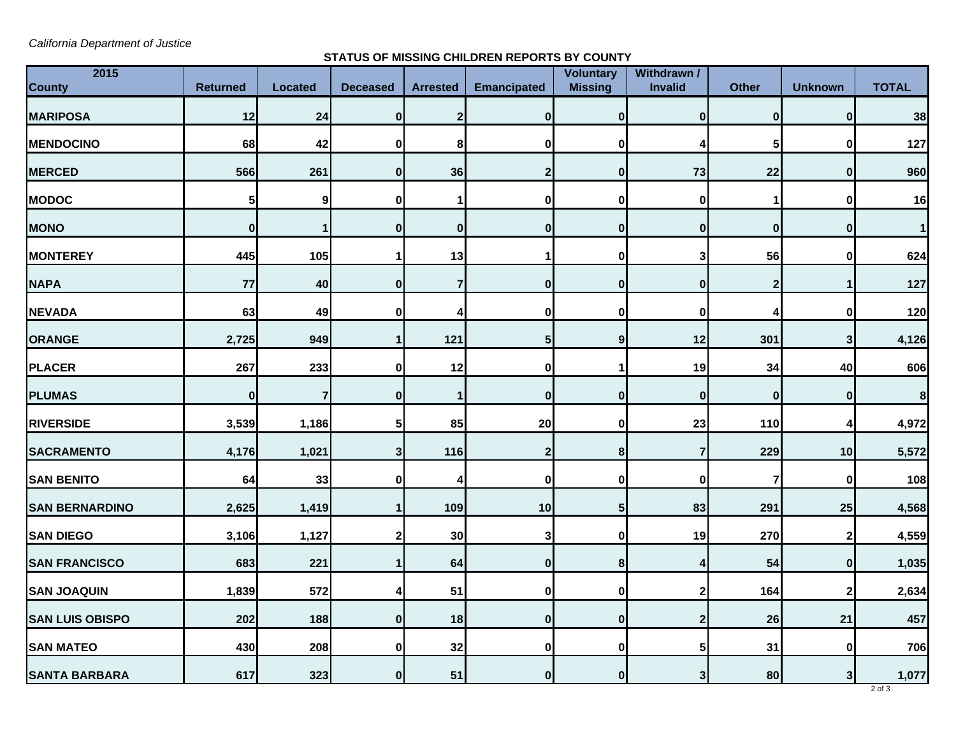*California Department of Justice*

## **STATUS OF MISSING CHILDREN REPORTS BY COUNTY**

| 2015<br><b>County</b>  | <b>Returned</b>  | <b>Located</b>   | <b>Deceased</b> | <b>Arrested</b> | <b>Emancipated</b> | <b>Voluntary</b><br><b>Missing</b> | Withdrawn /<br><b>Invalid</b> | <b>Other</b>            | <b>Unknown</b>   | <b>TOTAL</b>     |
|------------------------|------------------|------------------|-----------------|-----------------|--------------------|------------------------------------|-------------------------------|-------------------------|------------------|------------------|
|                        |                  |                  |                 |                 |                    |                                    |                               |                         |                  |                  |
| <b>MARIPOSA</b>        | 12               | 24               | $\bf{0}$        | $\mathbf{2}$    | 0                  | $\mathbf{0}$                       | $\mathbf{0}$                  | $\bf{0}$                | $\bf{0}$         | 38               |
| <b>MENDOCINO</b>       | 68               | 42               | $\bf{0}$        | 8               | $\bf{0}$           | $\mathbf{0}$                       | 4                             | 5                       | $\mathbf 0$      | 127              |
| <b>MERCED</b>          | 566              | 261              | $\bf{0}$        | 36              | $\mathbf{2}$       | $\mathbf{0}$                       | 73                            | 22                      | 0                | 960              |
| <b>MODOC</b>           | 5                | $\boldsymbol{9}$ | 0               | 1               | 0                  | 0                                  | $\pmb{0}$                     | 1                       | $\mathbf 0$      | 16               |
| <b>MONO</b>            | 0                | -1               | $\bf{0}$        | $\mathbf{0}$    | $\bf{0}$           | $\mathbf{0}$                       | $\mathbf{0}$                  | 0                       | $\bf{0}$         | $\vert$          |
| <b>MONTEREY</b>        | 445              | 105              | 1               | 13              |                    | 0                                  | $\mathbf{3}$                  | 56                      | $\bf{0}$         | 624              |
| <b>NAPA</b>            | 77               | 40               | $\bf{0}$        | $\overline{7}$  | $\mathbf{0}$       | $\mathbf{0}$                       | $\mathbf{0}$                  | $\mathbf 2$             | 1                | 127              |
| <b>NEVADA</b>          | 63               | 49               | 0               | $\overline{4}$  | $\bf{0}$           | 0                                  | 0                             | 4                       | $\bf{0}$         | 120              |
| ORANGE                 | 2,725            | 949              | 1               | 121             | $5\phantom{.0}$    | 9                                  | 12                            | 301                     | $\mathbf{3}$     | 4,126            |
| <b>PLACER</b>          | 267              | 233              | $\bf{0}$        | 12              | 0                  |                                    | 19                            | 34                      | 40               | 606              |
| <b>PLUMAS</b>          | $\boldsymbol{0}$ | 7                | $\bf{0}$        | $\mathbf{1}$    | 0                  | $\mathbf{0}$                       | $\mathbf{0}$                  | $\pmb{0}$               | $\boldsymbol{0}$ | $\boldsymbol{8}$ |
| <b>RIVERSIDE</b>       | 3,539            | 1,186            | 5               | 85              | 20                 | 0                                  | 23                            | 110                     | 4                | 4,972            |
| <b>SACRAMENTO</b>      | 4,176            | 1,021            | 3               | 116             | $\overline{2}$     | 8 <sup>1</sup>                     | $\overline{7}$                | 229                     | 10               | 5,572            |
| <b>SAN BENITO</b>      | 64               | 33               | $\bf{0}$        | $\overline{4}$  | $\mathbf 0$        | 0                                  | 0                             | $\overline{\mathbf{r}}$ | $\mathbf 0$      | 108              |
| <b>SAN BERNARDINO</b>  | 2,625            | 1,419            | 1               | 109             | 10                 | 5 <sub>l</sub>                     | 83                            | 291                     | 25               | 4,568            |
| <b>SAN DIEGO</b>       | 3,106            | 1,127            | $\mathbf{2}$    | 30              | 3                  | 0                                  | 19                            | 270                     | $2 \mid$         | 4,559            |
| <b>SAN FRANCISCO</b>   | 683              | 221              | 1               | 64              | 0                  | 8                                  | 4                             | 54                      | $\mathbf{0}$     | 1,035            |
| <b>SAN JOAQUIN</b>     | 1,839            | 572              | Δ               | 51              | 0                  | $\mathbf{0}$                       | $\mathbf{2}$                  | 164                     | $\mathbf{2}$     | 2,634            |
| <b>SAN LUIS OBISPO</b> | 202              | 188              | $\bf{0}$        | 18              | 0                  | $\mathbf{0}$                       | $\mathbf{2}$                  | 26                      | 21               | 457              |
| <b>SAN MATEO</b>       | 430              | 208              | $\mathbf 0$     | 32              | 0                  | $\mathbf{0}$                       | 5 <sub>l</sub>                | 31                      | 0                | 706              |
| <b>SANTA BARBARA</b>   | 617              | 323              | $\bf{0}$        | 51              | $\mathbf{0}$       | 0l                                 | 3 <sup>1</sup>                | 80                      | 3 <sub>l</sub>   | 1,077            |